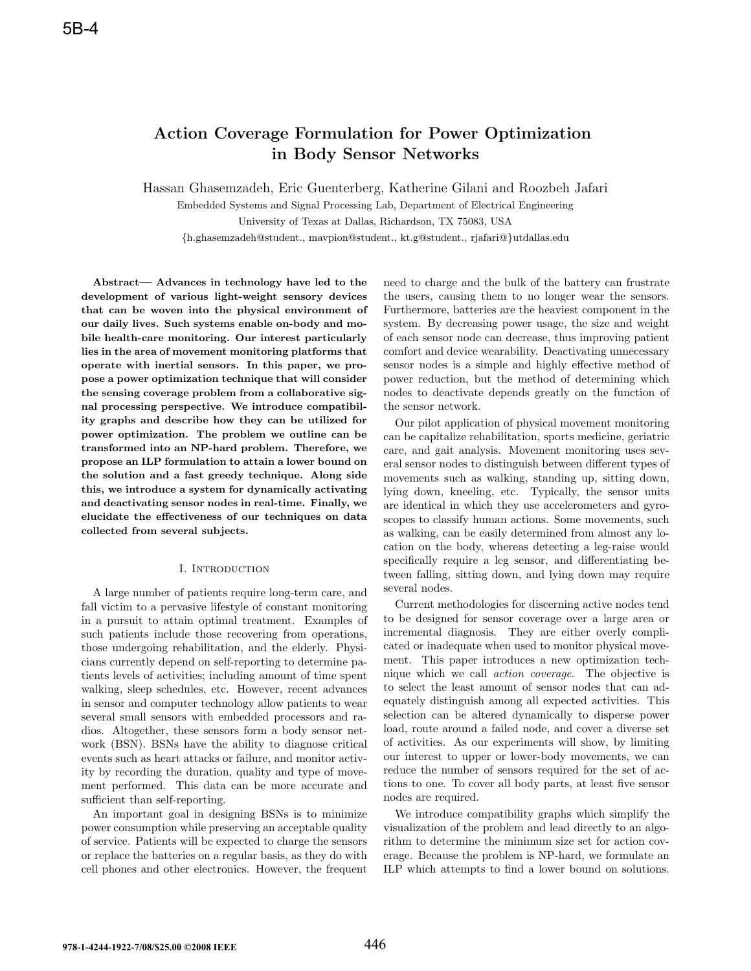# **Action Coverage Formulation for Power Optimization in Body Sensor Networks**

Hassan Ghasemzadeh, Eric Guenterberg, Katherine Gilani and Roozbeh Jafari

Embedded Systems and Signal Processing Lab, Department of Electrical Engineering University of Texas at Dallas, Richardson, TX 75083, USA

{h.ghasemzadeh@student., mavpion@student., kt.g@student., rjafari@}utdallas.edu

**Abstract— Advances in technology have led to the development of various light-weight sensory devices that can be woven into the physical environment of our daily lives. Such systems enable on-body and mobile health-care monitoring. Our interest particularly lies in the area of movement monitoring platforms that operate with inertial sensors. In this paper, we propose a power optimization technique that will consider the sensing coverage problem from a collaborative signal processing perspective. We introduce compatibility graphs and describe how they can be utilized for power optimization. The problem we outline can be transformed into an NP-hard problem. Therefore, we propose an ILP formulation to attain a lower bound on the solution and a fast greedy technique. Along side this, we introduce a system for dynamically activating and deactivating sensor nodes in real-time. Finally, we elucidate the effectiveness of our techniques on data collected from several subjects.**

## I. Introduction

A large number of patients require long-term care, and fall victim to a pervasive lifestyle of constant monitoring in a pursuit to attain optimal treatment. Examples of such patients include those recovering from operations, those undergoing rehabilitation, and the elderly. Physicians currently depend on self-reporting to determine patients levels of activities; including amount of time spent walking, sleep schedules, etc. However, recent advances in sensor and computer technology allow patients to wear several small sensors with embedded processors and radios. Altogether, these sensors form a body sensor network (BSN). BSNs have the ability to diagnose critical events such as heart attacks or failure, and monitor activity by recording the duration, quality and type of movement performed. This data can be more accurate and sufficient than self-reporting.

An important goal in designing BSNs is to minimize power consumption while preserving an acceptable quality of service. Patients will be expected to charge the sensors or replace the batteries on a regular basis, as they do with cell phones and other electronics. However, the frequent

need to charge and the bulk of the battery can frustrate the users, causing them to no longer wear the sensors. Furthermore, batteries are the heaviest component in the system. By decreasing power usage, the size and weight of each sensor node can decrease, thus improving patient comfort and device wearability. Deactivating unnecessary sensor nodes is a simple and highly effective method of power reduction, but the method of determining which nodes to deactivate depends greatly on the function of the sensor network.

Our pilot application of physical movement monitoring can be capitalize rehabilitation, sports medicine, geriatric care, and gait analysis. Movement monitoring uses several sensor nodes to distinguish between different types of movements such as walking, standing up, sitting down, lying down, kneeling, etc. Typically, the sensor units are identical in which they use accelerometers and gyroscopes to classify human actions. Some movements, such as walking, can be easily determined from almost any location on the body, whereas detecting a leg-raise would specifically require a leg sensor, and differentiating between falling, sitting down, and lying down may require several nodes.

Current methodologies for discerning active nodes tend to be designed for sensor coverage over a large area or incremental diagnosis. They are either overly complicated or inadequate when used to monitor physical movement. This paper introduces a new optimization technique which we call action coverage. The objective is to select the least amount of sensor nodes that can adequately distinguish among all expected activities. This selection can be altered dynamically to disperse power load, route around a failed node, and cover a diverse set of activities. As our experiments will show, by limiting our interest to upper or lower-body movements, we can reduce the number of sensors required for the set of actions to one. To cover all body parts, at least five sensor nodes are required.

We introduce compatibility graphs which simplify the visualization of the problem and lead directly to an algorithm to determine the minimum size set for action coverage. Because the problem is NP-hard, we formulate an ILP which attempts to find a lower bound on solutions.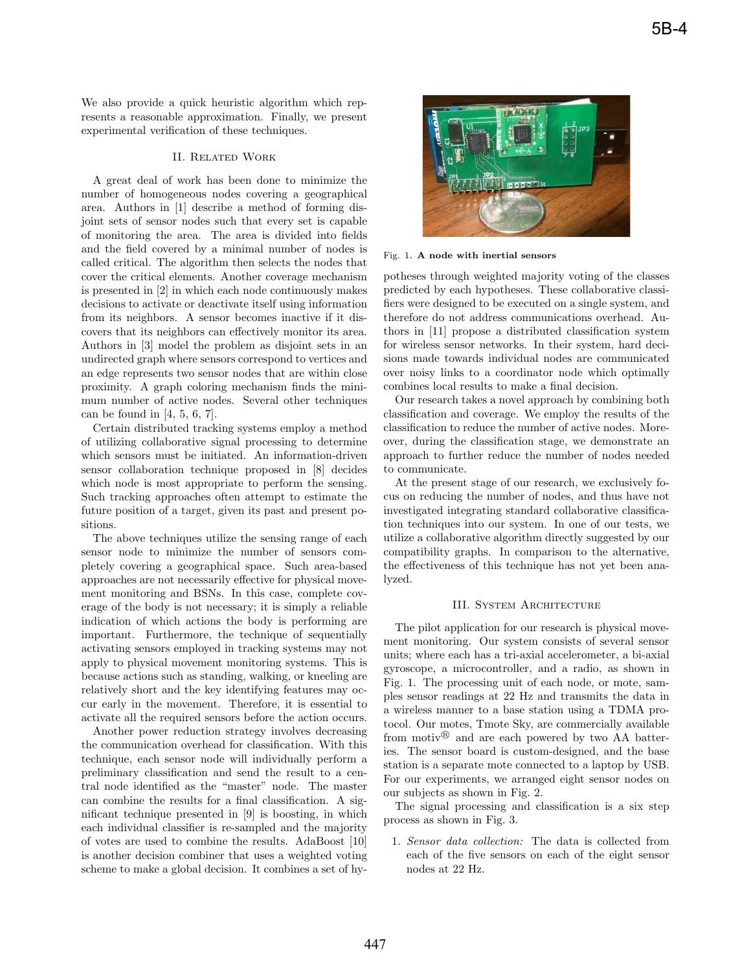We also provide a quick heuristic algorithm which represents a reasonable approximation. Finally, we present experimental verification of these techniques.

## II. Related Work

A great deal of work has been done to minimize the number of homogeneous nodes covering a geographical area. Authors in [1] describe a method of forming disjoint sets of sensor nodes such that every set is capable of monitoring the area. The area is divided into fields and the field covered by a minimal number of nodes is called critical. The algorithm then selects the nodes that cover the critical elements. Another coverage mechanism is presented in [2] in which each node continuously makes decisions to activate or deactivate itself using information from its neighbors. A sensor becomes inactive if it discovers that its neighbors can effectively monitor its area. Authors in [3] model the problem as disjoint sets in an undirected graph where sensors correspond to vertices and an edge represents two sensor nodes that are within close proximity. A graph coloring mechanism finds the minimum number of active nodes. Several other techniques can be found in  $[4, 5, 6, 7]$ .

Certain distributed tracking systems employ a method of utilizing collaborative signal processing to determine which sensors must be initiated. An information-driven sensor collaboration technique proposed in [8] decides which node is most appropriate to perform the sensing. Such tracking approaches often attempt to estimate the future position of a target, given its past and present positions.

The above techniques utilize the sensing range of each sensor node to minimize the number of sensors completely covering a geographical space. Such area-based approaches are not necessarily effective for physical movement monitoring and BSNs. In this case, complete coverage of the body is not necessary; it is simply a reliable indication of which actions the body is performing are important. Furthermore, the technique of sequentially activating sensors employed in tracking systems may not apply to physical movement monitoring systems. This is because actions such as standing, walking, or kneeling are relatively short and the key identifying features may occur early in the movement. Therefore, it is essential to activate all the required sensors before the action occurs.

Another power reduction strategy involves decreasing the communication overhead for classification. With this technique, each sensor node will individually perform a preliminary classification and send the result to a central node identified as the "master" node. The master can combine the results for a final classification. A significant technique presented in [9] is boosting, in which each individual classifier is re-sampled and the majority of votes are used to combine the results. AdaBoost [10] is another decision combiner that uses a weighted voting scheme to make a global decision. It combines a set of hy-



Fig. 1. **A node with inertial sensors**

potheses through weighted majority voting of the classes predicted by each hypotheses. These collaborative classifiers were designed to be executed on a single system, and therefore do not address communications overhead. Authors in [11] propose a distributed classification system for wireless sensor networks. In their system, hard decisions made towards individual nodes are communicated over noisy links to a coordinator node which optimally combines local results to make a final decision.

Our research takes a novel approach by combining both classification and coverage. We employ the results of the classification to reduce the number of active nodes. Moreover, during the classification stage, we demonstrate an approach to further reduce the number of nodes needed to communicate.

At the present stage of our research, we exclusively focus on reducing the number of nodes, and thus have not investigated integrating standard collaborative classification techniques into our system. In one of our tests, we utilize a collaborative algorithm directly suggested by our compatibility graphs. In comparison to the alternative, the effectiveness of this technique has not yet been analyzed.

# III. System Architecture

The pilot application for our research is physical movement monitoring. Our system consists of several sensor units; where each has a tri-axial accelerometer, a bi-axial gyroscope, a microcontroller, and a radio, as shown in Fig. 1. The processing unit of each node, or mote, samples sensor readings at 22 Hz and transmits the data in a wireless manner to a base station using a TDMA protocol. Our motes, Tmote Sky, are commercially available from motiv $\mathbb{B}$  and are each powered by two AA batteries. The sensor board is custom-designed, and the base station is a separate mote connected to a laptop by USB. For our experiments, we arranged eight sensor nodes on our subjects as shown in Fig. 2.

The signal processing and classification is a six step process as shown in Fig. 3.

1. Sensor data collection: The data is collected from each of the five sensors on each of the eight sensor nodes at 22 Hz.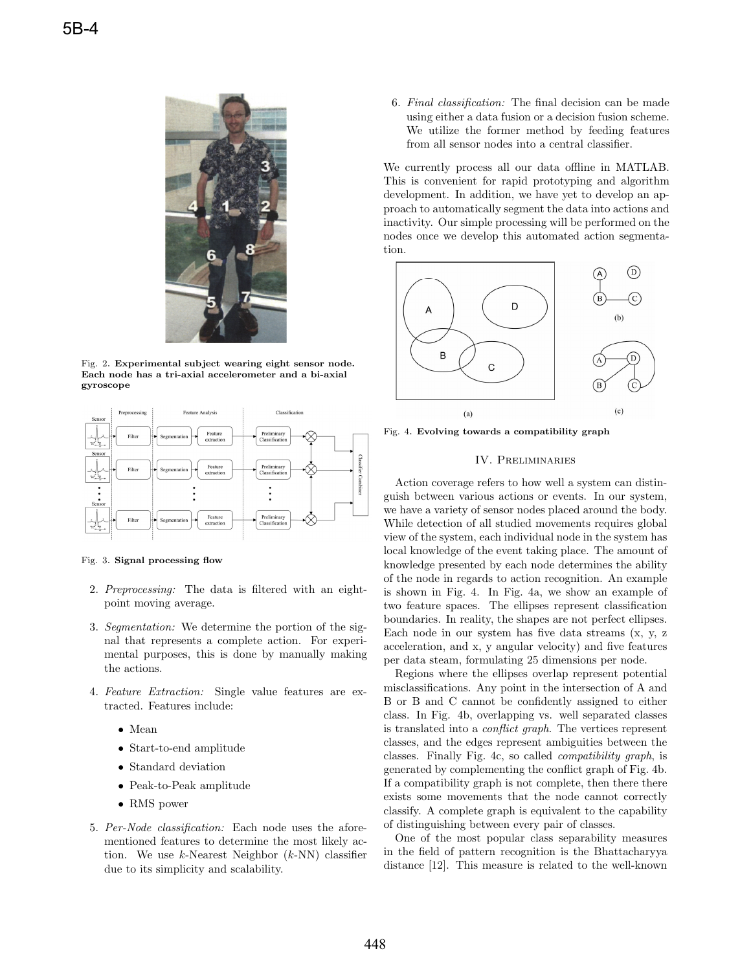

Fig. 2. **Experimental subject wearing eight sensor node. Each node has a tri-axial accelerometer and a bi-axial gyroscope**



Fig. 3. **Signal processing flow**

- 2. Preprocessing: The data is filtered with an eightpoint moving average.
- 3. Segmentation: We determine the portion of the signal that represents a complete action. For experimental purposes, this is done by manually making the actions.
- 4. Feature Extraction: Single value features are extracted. Features include:
	- Mean
	- Start-to-end amplitude
	- Standard deviation
	- Peak-to-Peak amplitude
	- RMS power
- 5. Per-Node classification: Each node uses the aforementioned features to determine the most likely action. We use  $k$ -Nearest Neighbor  $(k$ -NN) classifier due to its simplicity and scalability.

6. Final classification: The final decision can be made using either a data fusion or a decision fusion scheme. We utilize the former method by feeding features from all sensor nodes into a central classifier.

We currently process all our data offline in MATLAB. This is convenient for rapid prototyping and algorithm development. In addition, we have yet to develop an approach to automatically segment the data into actions and inactivity. Our simple processing will be performed on the nodes once we develop this automated action segmentation.



Fig. 4. **Evolving towards a compatibility graph**

# IV. Preliminaries

Action coverage refers to how well a system can distinguish between various actions or events. In our system, we have a variety of sensor nodes placed around the body. While detection of all studied movements requires global view of the system, each individual node in the system has local knowledge of the event taking place. The amount of knowledge presented by each node determines the ability of the node in regards to action recognition. An example is shown in Fig. 4. In Fig. 4a, we show an example of two feature spaces. The ellipses represent classification boundaries. In reality, the shapes are not perfect ellipses. Each node in our system has five data streams (x, y, z acceleration, and x, y angular velocity) and five features per data steam, formulating 25 dimensions per node.

Regions where the ellipses overlap represent potential misclassifications. Any point in the intersection of A and B or B and C cannot be confidently assigned to either class. In Fig. 4b, overlapping vs. well separated classes is translated into a conflict graph. The vertices represent classes, and the edges represent ambiguities between the classes. Finally Fig. 4c, so called compatibility graph, is generated by complementing the conflict graph of Fig. 4b. If a compatibility graph is not complete, then there there exists some movements that the node cannot correctly classify. A complete graph is equivalent to the capability of distinguishing between every pair of classes.

One of the most popular class separability measures in the field of pattern recognition is the Bhattacharyya distance [12]. This measure is related to the well-known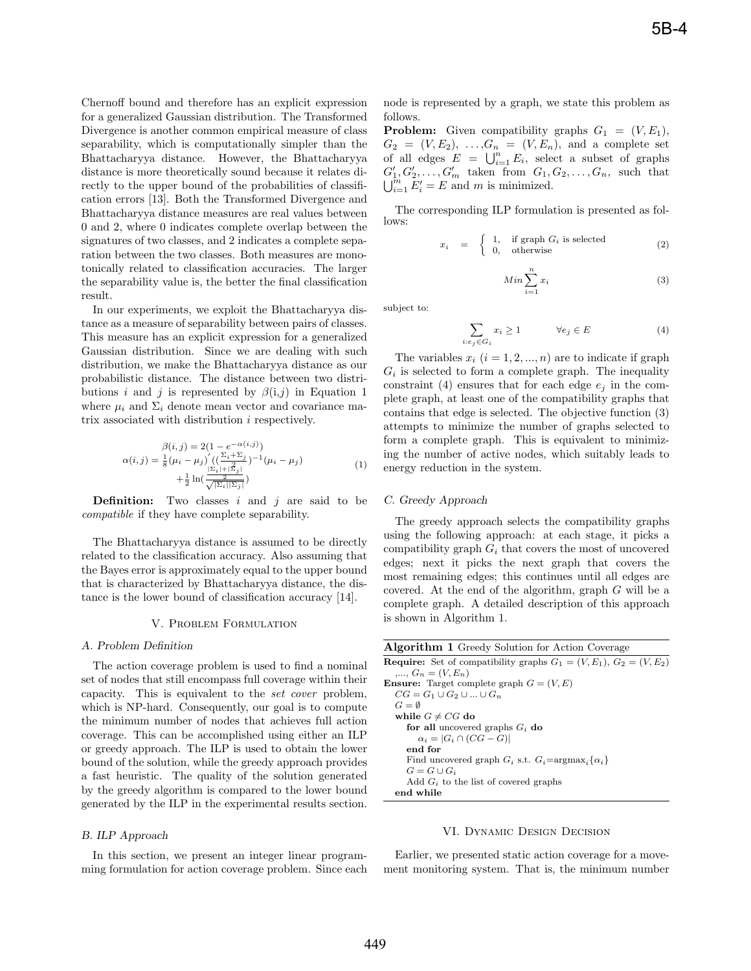Chernoff bound and therefore has an explicit expression for a generalized Gaussian distribution. The Transformed Divergence is another common empirical measure of class separability, which is computationally simpler than the Bhattacharyya distance. However, the Bhattacharyya distance is more theoretically sound because it relates directly to the upper bound of the probabilities of classification errors [13]. Both the Transformed Divergence and Bhattacharyya distance measures are real values between 0 and 2, where 0 indicates complete overlap between the signatures of two classes, and 2 indicates a complete separation between the two classes. Both measures are monotonically related to classification accuracies. The larger the separability value is, the better the final classification result.

In our experiments, we exploit the Bhattacharyya distance as a measure of separability between pairs of classes. This measure has an explicit expression for a generalized Gaussian distribution. Since we are dealing with such distribution, we make the Bhattacharyya distance as our probabilistic distance. The distance between two distributions i and j is represented by  $\beta(i,j)$  in Equation 1 where  $\mu_i$  and  $\Sigma_i$  denote mean vector and covariance matrix associated with distribution i respectively.

$$
\alpha(i,j) = \frac{\beta(i,j) = 2(1 - e^{-\alpha(i,j)})}{\frac{1}{8}(\mu_i - \mu_j)'\left((\frac{\Sigma_i + \Sigma_j}{\mu_i - \mu_j})^{-1}(\mu_i - \mu_j) + \frac{1}{2}\ln(\frac{\Sigma_i + \mu_{i,j}}{\sqrt{\Sigma_i(\Sigma_j)}})\right)}
$$
(1)

**Definition:** Two classes  $i$  and  $j$  are said to be compatible if they have complete separability.

The Bhattacharyya distance is assumed to be directly related to the classification accuracy. Also assuming that the Bayes error is approximately equal to the upper bound that is characterized by Bhattacharyya distance, the distance is the lower bound of classification accuracy [14].

#### V. Problem Formulation

## *A. Problem Definition*

The action coverage problem is used to find a nominal set of nodes that still encompass full coverage within their capacity. This is equivalent to the set cover problem, which is NP-hard. Consequently, our goal is to compute the minimum number of nodes that achieves full action coverage. This can be accomplished using either an ILP or greedy approach. The ILP is used to obtain the lower bound of the solution, while the greedy approach provides a fast heuristic. The quality of the solution generated by the greedy algorithm is compared to the lower bound generated by the ILP in the experimental results section.

# *B. ILP Approach*

In this section, we present an integer linear programming formulation for action coverage problem. Since each node is represented by a graph, we state this problem as follows.

**Problem:** Given compatibility graphs  $G_1 = (V, E_1)$ ,  $G_2 = (V, E_2), \ldots, G_n = (V, E_n),$  and a complete set of all edges  $E = \bigcup_{i=1}^{n} E_i$ , select a subset of graphs  $G'_1, G'_2, \ldots, G'_m$  taken from  $G_1, G_2, \ldots, G_n$ , such that  $\bigcup_{i=1}^{m} E'_i = E$  and m is minimized.

The corresponding ILP formulation is presented as follows:

$$
x_i = \begin{cases} 1, & \text{if graph } G_i \text{ is selected} \\ 0, & \text{otherwise} \end{cases}
$$
 (2)

$$
Min \sum_{i=1}^{n} x_i
$$
\n(3)

subject to:

$$
\sum_{i:e_j \in G_i} x_i \ge 1 \qquad \forall e_j \in E \tag{4}
$$

The variables  $x_i$   $(i = 1, 2, ..., n)$  are to indicate if graph  $G_i$  is selected to form a complete graph. The inequality constraint (4) ensures that for each edge  $e_i$  in the complete graph, at least one of the compatibility graphs that contains that edge is selected. The objective function (3) attempts to minimize the number of graphs selected to form a complete graph. This is equivalent to minimizing the number of active nodes, which suitably leads to energy reduction in the system.

#### *C. Greedy Approach*

The greedy approach selects the compatibility graphs using the following approach: at each stage, it picks a compatibility graph  $G_i$  that covers the most of uncovered edges; next it picks the next graph that covers the most remaining edges; this continues until all edges are covered. At the end of the algorithm, graph  $G$  will be a complete graph. A detailed description of this approach is shown in Algorithm 1.

| <b>Algorithm 1</b> Greedy Solution for Action Coverage                       |
|------------------------------------------------------------------------------|
| <b>Require:</b> Set of compatibility graphs $G_1 = (V, E_1), G_2 = (V, E_2)$ |
| , $G_n = (V, E_n)$                                                           |
| <b>Ensure:</b> Target complete graph $G = (V, E)$                            |
| $CG = G_1 \cup G_2 \cup  \cup G_n$                                           |
| $G = \emptyset$                                                              |
| while $G \neq CG$ do                                                         |
| for all uncovered graphs $G_i$ do                                            |
| $\alpha_i =  G_i \cap (CG - G) $                                             |
| end for                                                                      |
| Find uncovered graph $G_i$ s.t. $G_i = \text{argmax}_i {\alpha_i}$           |
| $G = G \cup G_i$                                                             |
| Add $G_i$ to the list of covered graphs                                      |
| end while                                                                    |

## VI. Dynamic Design Decision

Earlier, we presented static action coverage for a movement monitoring system. That is, the minimum number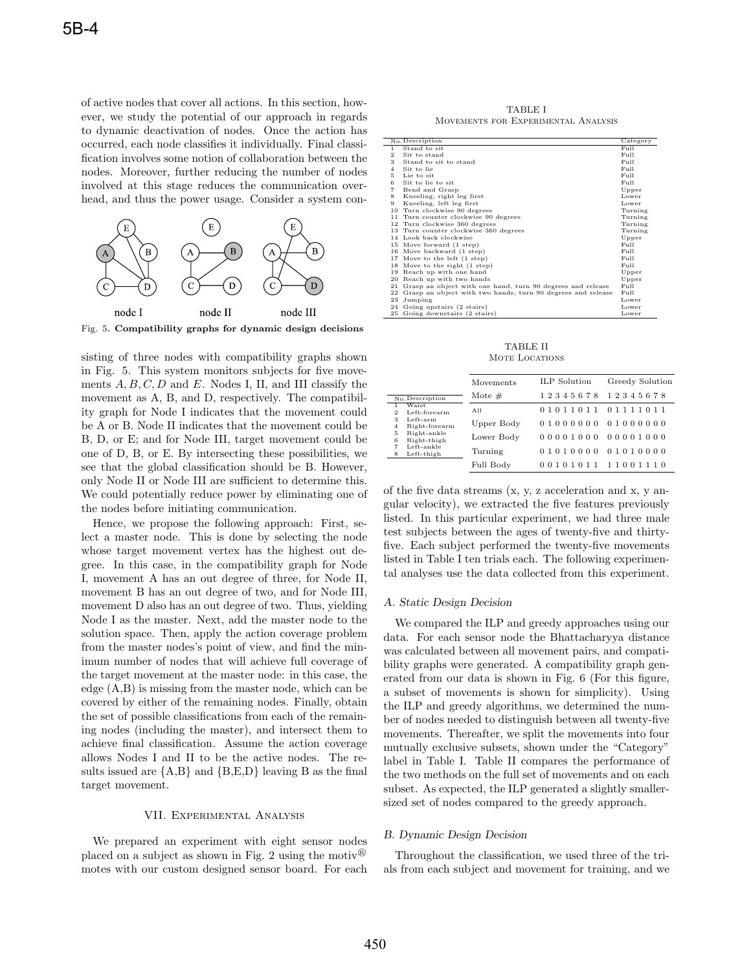of active nodes that cover all actions. In this section, however, we study the potential of our approach in regards to dynamic deactivation of nodes. Once the action has occurred, each node classifies it individually. Final classification involves some notion of collaboration between the nodes. Moreover, further reducing the number of nodes involved at this stage reduces the communication overhead, and thus the power usage. Consider a system con-



Fig. 5. **Compatibility graphs for dynamic design decisions**

sisting of three nodes with compatibility graphs shown in Fig. 5. This system monitors subjects for five movements  $A, B, C, D$  and E. Nodes I, II, and III classify the movement as A, B, and D, respectively. The compatibility graph for Node I indicates that the movement could be A or B. Node II indicates that the movement could be B, D, or E; and for Node III, target movement could be one of D, B, or E. By intersecting these possibilities, we see that the global classification should be B. However, only Node II or Node III are sufficient to determine this. We could potentially reduce power by eliminating one of the nodes before initiating communication.

Hence, we propose the following approach: First, select a master node. This is done by selecting the node whose target movement vertex has the highest out degree. In this case, in the compatibility graph for Node I, movement A has an out degree of three, for Node II, movement B has an out degree of two, and for Node III, movement D also has an out degree of two. Thus, yielding Node I as the master. Next, add the master node to the solution space. Then, apply the action coverage problem from the master nodes's point of view, and find the minimum number of nodes that will achieve full coverage of the target movement at the master node: in this case, the edge (A,B) is missing from the master node, which can be covered by either of the remaining nodes. Finally, obtain the set of possible classifications from each of the remaining nodes (including the master), and intersect them to achieve final classification. Assume the action coverage allows Nodes I and II to be the active nodes. The results issued are  ${A,B}$  and  ${B,E,D}$  leaving B as the final target movement.

## VII. Experimental Analysis

We prepared an experiment with eight sensor nodes placed on a subject as shown in Fig. 2 using the motiv $\mathbb{B}$ motes with our custom designed sensor board. For each

TABLE I Movements for Experimental Analysis

|                | No. Description                                             | Category        |
|----------------|-------------------------------------------------------------|-----------------|
| $\mathbf{1}$   | Stand to sit                                                | Full            |
| $\overline{2}$ | Sit to stand                                                | Full            |
| 3              | Stand to sit to stand                                       | Full            |
| $\overline{4}$ | Sit to lie                                                  | $FU$ ll         |
| 5.             | Lie to sit                                                  | Full            |
| 6              | Sit to lie to sit                                           | Full            |
| 7              | Bend and Grasp                                              | Upper           |
| 8              | Kneeling, right leg first                                   | Lower           |
| 9              | Kneeling, left leg first                                    | Lower           |
| 10             | Turn clockwise 90 degrees                                   | Turning         |
| 11             | Turn counter clockwise 90 degrees                           | Turning         |
|                | 12 Turn clockwise 360 degrees                               | Turning         |
|                | 13 Turn counter clockwise 360 degrees                       | Turning         |
|                | 14 Look back clockwise                                      | Upper           |
|                | 15 Move forward (1 step)                                    | Full            |
|                | 16 Move backward (1 step)                                   | Full            |
|                | 17 Move to the left (1 step)                                | Full            |
|                | 18 Move to the right (1 step)                               | Full            |
| 19             | Reach up with one hand                                      | Upper           |
| 20             | Reach up with two hands                                     | Upper           |
| 21             | Grasp an object with one hand, turn 90 degrees and release  | F <sub>II</sub> |
| 22             | Grasp an object with two hands, turn 90 degrees and release | F <sub>II</sub> |
| 23             | Jumping                                                     | Lower           |
| 24             | Going upstairs (2 stairs)                                   | Lower           |
| 25             | Going downstairs (2 stairs)                                 | Lower           |

TABLE II MOTE LOCATIONS

|                 |                              | Movements  | ILP Solution      | Greedy Solution |
|-----------------|------------------------------|------------|-------------------|-----------------|
| No. Description |                              | Mote $#$   | 12345678          | 12345678        |
| 1.<br>2         | <b>Waist</b><br>Left-forearm | A11        | 01011011 01111011 |                 |
| з<br>4          | Left-arm<br>Right-forearm    | Upper Body | 01000000          | 01000000        |
| 5<br>6          | Right-ankle<br>Right-thigh   | Lower Body | 00001000          | 00001000        |
| 7<br>8          | Left-ankle<br>Left-thigh     | Turning    | 01010000          | 01010000        |
|                 |                              | Full Body  | 00101011          | 11001110        |

of the five data streams (x, y, z acceleration and x, y angular velocity), we extracted the five features previously listed. In this particular experiment, we had three male test subjects between the ages of twenty-five and thirtyfive. Each subject performed the twenty-five movements listed in Table I ten trials each. The following experimental analyses use the data collected from this experiment.

#### *A. Static Design Decision*

We compared the ILP and greedy approaches using our data. For each sensor node the Bhattacharyya distance was calculated between all movement pairs, and compatibility graphs were generated. A compatibility graph generated from our data is shown in Fig. 6 (For this figure, a subset of movements is shown for simplicity). Using the ILP and greedy algorithms, we determined the number of nodes needed to distinguish between all twenty-five movements. Thereafter, we split the movements into four mutually exclusive subsets, shown under the "Category" label in Table I. Table II compares the performance of the two methods on the full set of movements and on each subset. As expected, the ILP generated a slightly smallersized set of nodes compared to the greedy approach.

# *B. Dynamic Design Decision*

Throughout the classification, we used three of the trials from each subject and movement for training, and we